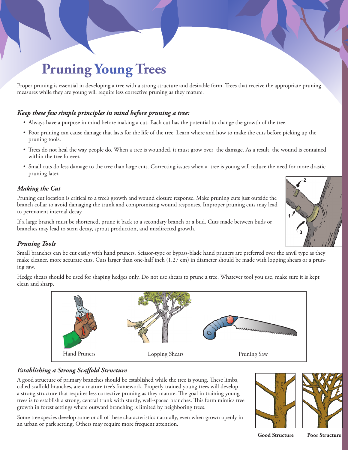# **Pruning Young Trees**

Proper pruning is essential in developing a tree with a strong structure and desirable form. Trees that receive the appropriate pruning measures while they are young will require less corrective pruning as they mature.

## *Keep these few simple principles in mind before pruning a tree:*

- • Always have a purpose in mind before making a cut. Each cut has the potential to change the growth of the tree.
- • Poor pruning can cause damage that lasts for the life of the tree. Learn where and how to make the cuts before picking up the pruning tools.
- • Trees do not heal the way people do. When a tree is wounded, it must grow over the damage. As a result, the wound is contained within the tree forever.
- • Small cuts do less damage to the tree than large cuts. Correcting issues when a tree is young will reduce the need for more drastic pruning later.

## *Making the Cut*

Pruning cut location is critical to a tree's growth and wound closure response. Make pruning cuts just outside the branch collar to avoid damaging the trunk and compromising wound responses. Improper pruning cuts may lead to permanent internal decay.

If a large branch must be shortened, prune it back to a secondary branch or a bud. Cuts made between buds or branches may lead to stem decay, sprout production, and misdirected growth.

## *Pruning Tools*

Small branches can be cut easily with hand pruners. Scissor-type or bypass-blade hand pruners are preferred over the anvil type as they make cleaner, more accurate cuts. Cuts larger than one-half inch (1.27 cm) in diameter should be made with lopping shears or a pruning saw.

Hedge shears should be used for shaping hedges only. Do not use shears to prune a tree. Whatever tool you use, make sure it is kept clean and sharp.



### *Establishing a Strong Scaffold Structure*

A good structure of primary branches should be established while the tree is young. These limbs, called scaffold branches, are a mature tree's framework. Properly trained young trees will develop a strong structure that requires less corrective pruning as they mature. The goal in training young trees is to establish a strong, central trunk with sturdy, well-spaced branches. This form mimics tree growth in forest settings where outward branching is limited by neighboring trees.

Some tree species develop some or all of these characteristics naturally, even when grown openly in an urban or park setting. Others may require more frequent attention.





**Good Structure Poor Structure**



**2**